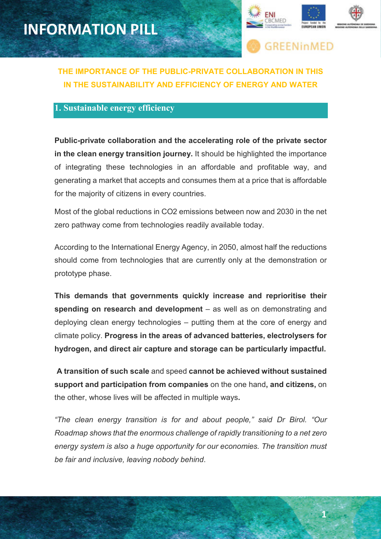

**1**



### **THE IMPORTANCE OF THE PUBLIC-PRIVATE COLLABORATION IN THIS IN THE SUSTAINABILITY AND EFFICIENCY OF ENERGY AND WATER**

#### **1. Sustainable energy efficiency**

**Public-private collaboration and the accelerating role of the private sector in the clean energy transition journey.** It should be highlighted the importance of integrating these technologies in an affordable and profitable way, and generating a market that accepts and consumes them at a price that is affordable for the majority of citizens in every countries.

Most of the global reductions in CO2 emissions between now and 2030 in the net zero pathway come from technologies readily available today.

According to the International Energy Agency, in 2050, almost half the reductions should come from technologies that are currently only at the demonstration or prototype phase.

**This demands that governments quickly increase and reprioritise their spending on research and development** – as well as on demonstrating and deploying clean energy technologies – putting them at the core of energy and climate policy. **Progress in the areas of advanced batteries, electrolysers for hydrogen, and direct air capture and storage can be particularly impactful.**

 **A transition of such scale** and speed **cannot be achieved without sustained support and participation from companies** on the one hand**, and citizens,** on the other, whose lives will be affected in multiple ways**.** 

*"The clean energy transition is for and about people," said Dr Birol. "Our Roadmap shows that the enormous challenge of rapidly transitioning to a net zero energy system is also a huge opportunity for our economies. The transition must be fair and inclusive, leaving nobody behind*.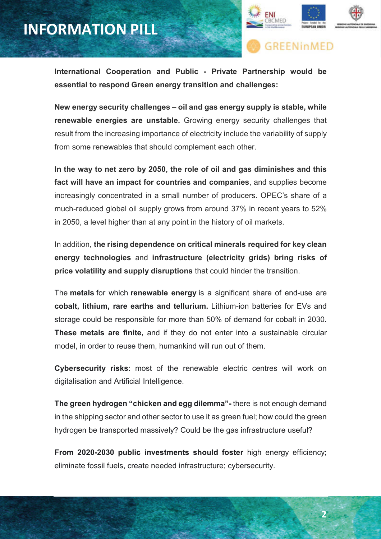## **INFORMATION PILL**



**GREENinMED** 

**International Cooperation and Public - Private Partnership would be essential to respond Green energy transition and challenges:** 

**New energy security challenges – oil and gas energy supply is stable, while renewable energies are unstable.** Growing energy security challenges that result from the increasing importance of electricity include the variability of supply from some renewables that should complement each other.

**In the way to net zero by 2050, the role of oil and gas diminishes and this fact will have an impact for countries and companies**, and supplies become increasingly concentrated in a small number of producers. OPEC's share of a much-reduced global oil supply grows from around 37% in recent years to 52% in 2050, a level higher than at any point in the history of oil markets.

In addition, **the rising dependence on critical minerals required for key clean energy technologies** and **infrastructure (electricity grids) bring risks of price volatility and supply disruptions** that could hinder the transition.

The **metals** for which **renewable energy** is a significant share of end-use are **cobalt, lithium, rare earths and tellurium.** Lithium-ion batteries for EVs and storage could be responsible for more than 50% of demand for cobalt in 2030. **These metals are finite,** and if they do not enter into a sustainable circular model, in order to reuse them, humankind will run out of them.

**Cybersecurity risks**: most of the renewable electric centres will work on digitalisation and Artificial Intelligence.

**The green hydrogen "chicken and egg dilemma"-** there is not enough demand in the shipping sector and other sector to use it as green fuel; how could the green hydrogen be transported massively? Could be the gas infrastructure useful?

**From 2020-2030 public investments should foster** high energy efficiency; eliminate fossil fuels, create needed infrastructure; cybersecurity.